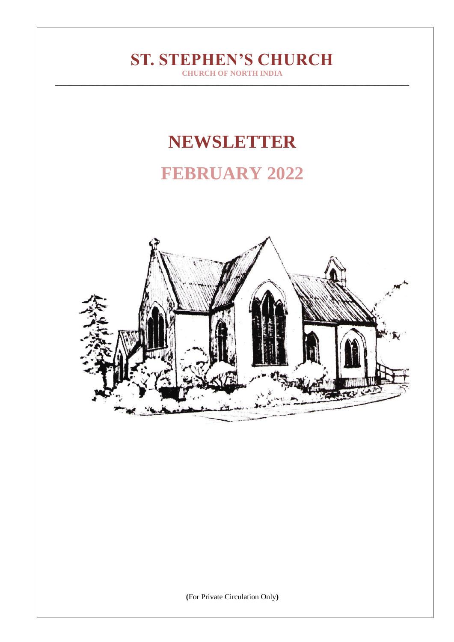# **ST. STEPHEN'S CHURCH**

**CHURCH OF NORTH INDIA \_\_\_\_\_\_\_\_\_\_\_\_\_\_\_\_\_\_\_\_\_\_\_\_\_\_\_\_\_\_\_\_\_\_\_\_\_\_\_\_\_\_\_\_\_\_\_\_\_\_\_\_\_\_\_\_\_\_\_\_\_\_\_\_\_\_\_\_\_\_\_\_\_\_\_\_\_\_\_\_\_\_\_\_\_\_\_\_\_\_\_\_\_**

# **NEWSLETTER**

# **FEBRUARY 2022**



**(**For Private Circulation Only**)**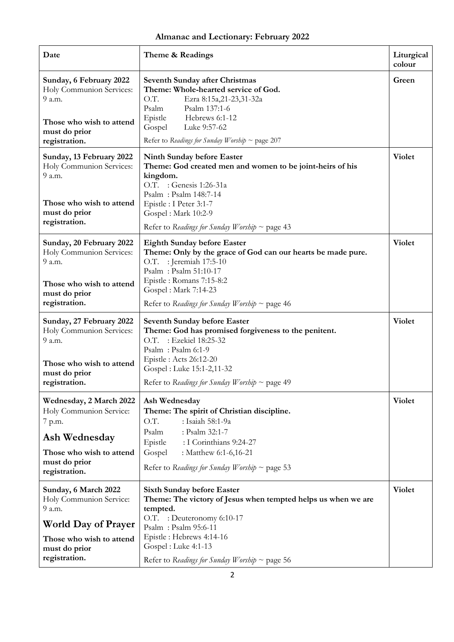## **Almanac and Lectionary: February 2022**

| Date                                                                                                                                                  | Theme & Readings                                                                                                                                                                                                                                                          | Liturgical<br>colour |
|-------------------------------------------------------------------------------------------------------------------------------------------------------|---------------------------------------------------------------------------------------------------------------------------------------------------------------------------------------------------------------------------------------------------------------------------|----------------------|
| Sunday, 6 February 2022<br>Holy Communion Services:<br>9 a.m.<br>Those who wish to attend<br>must do prior<br>registration.                           | Seventh Sunday after Christmas<br>Theme: Whole-hearted service of God.<br>O.T.<br>Ezra 8:15a,21-23,31-32a<br>Psalm<br>Psalm 137:1-6<br>Epistle<br>Hebrews 6:1-12<br>Gospel<br>Luke 9:57-62<br>Refer to Readings for Sunday Worship ~ page 207                             | Green                |
| Sunday, 13 February 2022<br>Holy Communion Services:<br>9 a.m.<br>Those who wish to attend<br>must do prior<br>registration.                          | Ninth Sunday before Easter<br>Theme: God created men and women to be joint-heirs of his<br>kingdom.<br>O.T. : Genesis 1:26-31a<br>Psalm: Psalm 148:7-14<br>Epistle: I Peter 3:1-7<br>Gospel: Mark 10:2-9<br>Refer to Readings for Sunday Worship ~ page 43                | Violet               |
| Sunday, 20 February 2022<br>Holy Communion Services:<br>9 a.m.                                                                                        | <b>Eighth Sunday before Easter</b><br>Theme: Only by the grace of God can our hearts be made pure.<br>O.T. : Jeremiah 17:5-10<br>Psalm: Psalm 51:10-17                                                                                                                    | <b>Violet</b>        |
| Those who wish to attend<br>must do prior<br>registration.                                                                                            | Epistle: Romans 7:15-8:2<br>Gospel: Mark 7:14-23<br>Refer to Readings for Sunday Worship $\sim$ page 46                                                                                                                                                                   |                      |
| Sunday, 27 February 2022<br>Holy Communion Services:<br>9 a.m.                                                                                        | <b>Seventh Sunday before Easter</b><br>Theme: God has promised forgiveness to the penitent.<br>O.T. : Ezekiel 18:25-32<br>Psalm: Psalm 6:1-9                                                                                                                              | Violet               |
| Those who wish to attend<br>must do prior<br>registration.                                                                                            | Epistle : Acts 26:12-20<br>Gospel: Luke 15:1-2,11-32<br>Refer to Readings for Sunday Worship ~ page 49                                                                                                                                                                    |                      |
| Wednesday, 2 March 2022<br>Holy Communion Service:<br>7 p.m.<br>Ash Wednesday<br>Those who wish to attend<br>must do prior<br>registration.           | Ash Wednesday<br>Theme: The spirit of Christian discipline.<br>O.T.<br>: Isaiah 58:1-9a<br>: Psalm 32:1-7<br>Psalm<br>Epistle<br>: I Corinthians 9:24-27<br>Gospel<br>: Matthew 6:1-6,16-21<br>Refer to Readings for Sunday Worship ~ page 53                             | Violet               |
| Sunday, 6 March 2022<br>Holy Communion Service:<br>9 a.m.<br><b>World Day of Prayer</b><br>Those who wish to attend<br>must do prior<br>registration. | <b>Sixth Sunday before Easter</b><br>Theme: The victory of Jesus when tempted helps us when we are<br>tempted.<br>O.T. : Deuteronomy 6:10-17<br>Psalm: Psalm 95:6-11<br>Epistle: Hebrews 4:14-16<br>Gospel: Luke 4:1-13<br>Refer to Readings for Sunday Worship ~ page 56 | Violet               |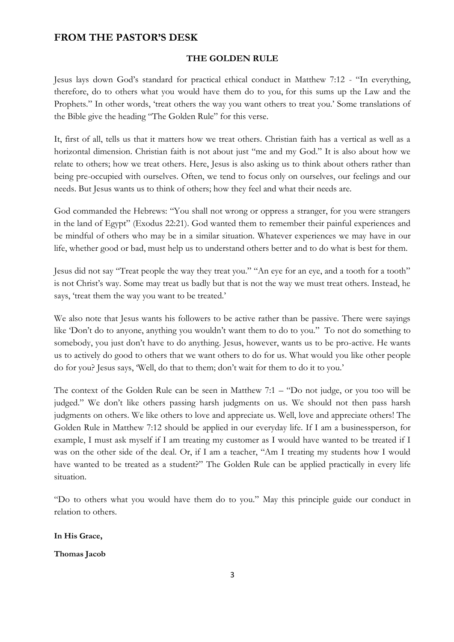### **FROM THE PASTOR'S DESK**

#### **THE GOLDEN RULE**

Jesus lays down God's standard for practical ethical conduct in Matthew 7:12 - "In everything, therefore, do to others what you would have them do to you, for this sums up the Law and the Prophets." In other words, 'treat others the way you want others to treat you.' Some translations of the Bible give the heading "The Golden Rule" for this verse.

It, first of all, tells us that it matters how we treat others. Christian faith has a vertical as well as a horizontal dimension. Christian faith is not about just "me and my God." It is also about how we relate to others; how we treat others. Here, Jesus is also asking us to think about others rather than being pre-occupied with ourselves. Often, we tend to focus only on ourselves, our feelings and our needs. But Jesus wants us to think of others; how they feel and what their needs are.

God commanded the Hebrews: "You shall not wrong or oppress a stranger, for you were strangers in the land of Egypt" (Exodus 22:21). God wanted them to remember their painful experiences and be mindful of others who may be in a similar situation. Whatever experiences we may have in our life, whether good or bad, must help us to understand others better and to do what is best for them.

Jesus did not say "Treat people the way they treat you." "An eye for an eye, and a tooth for a tooth" is not Christ's way. Some may treat us badly but that is not the way we must treat others. Instead, he says, 'treat them the way you want to be treated.'

We also note that Jesus wants his followers to be active rather than be passive. There were sayings like 'Don't do to anyone, anything you wouldn't want them to do to you." To not do something to somebody, you just don't have to do anything. Jesus, however, wants us to be pro-active. He wants us to actively do good to others that we want others to do for us. What would you like other people do for you? Jesus says, 'Well, do that to them; don't wait for them to do it to you.'

The context of the Golden Rule can be seen in Matthew 7:1 – "Do not judge, or you too will be judged." We don't like others passing harsh judgments on us. We should not then pass harsh judgments on others. We like others to love and appreciate us. Well, love and appreciate others! The Golden Rule in Matthew 7:12 should be applied in our everyday life. If I am a businessperson, for example, I must ask myself if I am treating my customer as I would have wanted to be treated if I was on the other side of the deal. Or, if I am a teacher, "Am I treating my students how I would have wanted to be treated as a student?" The Golden Rule can be applied practically in every life situation.

"Do to others what you would have them do to you." May this principle guide our conduct in relation to others.

**In His Grace,**

#### **Thomas Jacob**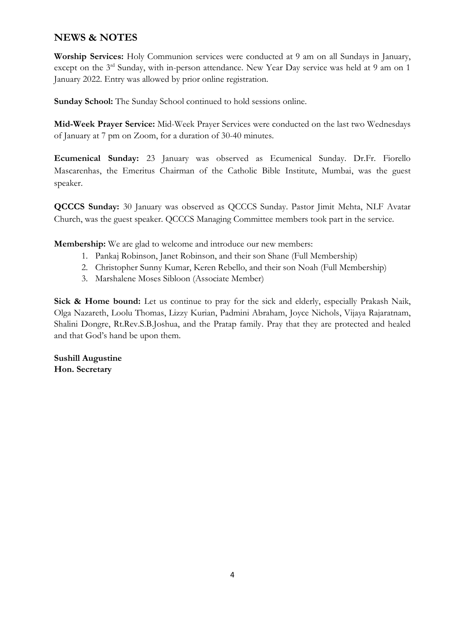## **NEWS & NOTES**

**Worship Services:** Holy Communion services were conducted at 9 am on all Sundays in January, except on the 3<sup>rd</sup> Sunday, with in-person attendance. New Year Day service was held at 9 am on 1 January 2022. Entry was allowed by prior online registration.

**Sunday School:** The Sunday School continued to hold sessions online.

**Mid-Week Prayer Service:** Mid-Week Prayer Services were conducted on the last two Wednesdays of January at 7 pm on Zoom, for a duration of 30-40 minutes.

**Ecumenical Sunday:** 23 January was observed as Ecumenical Sunday. Dr.Fr. Fiorello Mascarenhas, the Emeritus Chairman of the Catholic Bible Institute, Mumbai, was the guest speaker.

**QCCCS Sunday:** 30 January was observed as QCCCS Sunday. Pastor Jimit Mehta, NLF Avatar Church, was the guest speaker. QCCCS Managing Committee members took part in the service.

**Membership:** We are glad to welcome and introduce our new members:

- 1. Pankaj Robinson, Janet Robinson, and their son Shane (Full Membership)
- 2. Christopher Sunny Kumar, Keren Rebello, and their son Noah (Full Membership)
- 3. Marshalene Moses Sibloon (Associate Member)

**Sick & Home bound:** Let us continue to pray for the sick and elderly, especially Prakash Naik, Olga Nazareth, Loolu Thomas, Lizzy Kurian, Padmini Abraham, Joyce Nichols, Vijaya Rajaratnam, Shalini Dongre, Rt.Rev.S.B.Joshua, and the Pratap family. Pray that they are protected and healed and that God's hand be upon them.

**Sushill Augustine Hon. Secretary**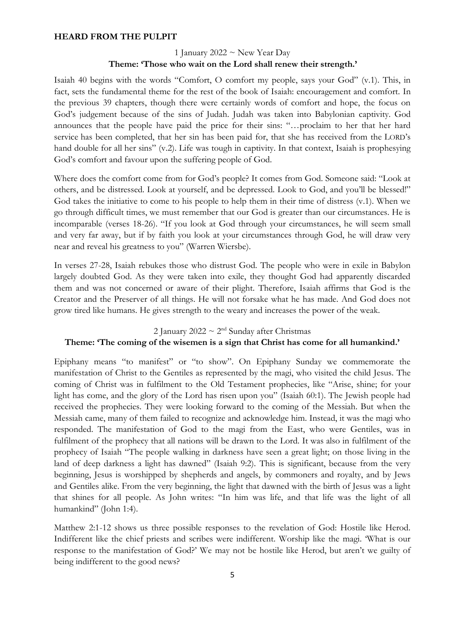#### **HEARD FROM THE PULPIT**

#### 1 January 2022  $\sim$  New Year Day **Theme: 'Those who wait on the Lord shall renew their strength.'**

Isaiah 40 begins with the words "Comfort, O comfort my people, says your God" (v.1). This, in fact, sets the fundamental theme for the rest of the book of Isaiah: encouragement and comfort. In the previous 39 chapters, though there were certainly words of comfort and hope, the focus on God's judgement because of the sins of Judah. Judah was taken into Babylonian captivity. God announces that the people have paid the price for their sins: "…proclaim to her that her hard service has been completed, that her sin has been paid for, that she has received from the LORD's hand double for all her sins" (v.2). Life was tough in captivity. In that context, Isaiah is prophesying God's comfort and favour upon the suffering people of God.

Where does the comfort come from for God's people? It comes from God. Someone said: "Look at others, and be distressed. Look at yourself, and be depressed. Look to God, and you'll be blessed!" God takes the initiative to come to his people to help them in their time of distress (v.1). When we go through difficult times, we must remember that our God is greater than our circumstances. He is incomparable (verses 18-26). "If you look at God through your circumstances, he will seem small and very far away, but if by faith you look at your circumstances through God, he will draw very near and reveal his greatness to you" (Warren Wiersbe).

In verses 27-28, Isaiah rebukes those who distrust God. The people who were in exile in Babylon largely doubted God. As they were taken into exile, they thought God had apparently discarded them and was not concerned or aware of their plight. Therefore, Isaiah affirms that God is the Creator and the Preserver of all things. He will not forsake what he has made. And God does not grow tired like humans. He gives strength to the weary and increases the power of the weak.

## 2 January 2022  $\sim 2^{\text{nd}}$  Sunday after Christmas

#### **Theme: 'The coming of the wisemen is a sign that Christ has come for all humankind.'**

Epiphany means "to manifest" or "to show". On Epiphany Sunday we commemorate the manifestation of Christ to the Gentiles as represented by the magi, who visited the child Jesus. The coming of Christ was in fulfilment to the Old Testament prophecies, like "Arise, shine; for your light has come, and the glory of the Lord has risen upon you" (Isaiah 60:1). The Jewish people had received the prophecies. They were looking forward to the coming of the Messiah. But when the Messiah came, many of them failed to recognize and acknowledge him. Instead, it was the magi who responded. The manifestation of God to the magi from the East, who were Gentiles, was in fulfilment of the prophecy that all nations will be drawn to the Lord. It was also in fulfilment of the prophecy of Isaiah "The people walking in darkness have seen a great light; on those living in the land of deep darkness a light has dawned" (Isaiah 9:2). This is significant, because from the very beginning, Jesus is worshipped by shepherds and angels, by commoners and royalty, and by Jews and Gentiles alike. From the very beginning, the light that dawned with the birth of Jesus was a light that shines for all people. As John writes: "In him was life, and that life was the light of all humankind" (John 1:4).

Matthew 2:1-12 shows us three possible responses to the revelation of God: Hostile like Herod. Indifferent like the chief priests and scribes were indifferent. Worship like the magi. 'What is our response to the manifestation of God?' We may not be hostile like Herod, but aren't we guilty of being indifferent to the good news?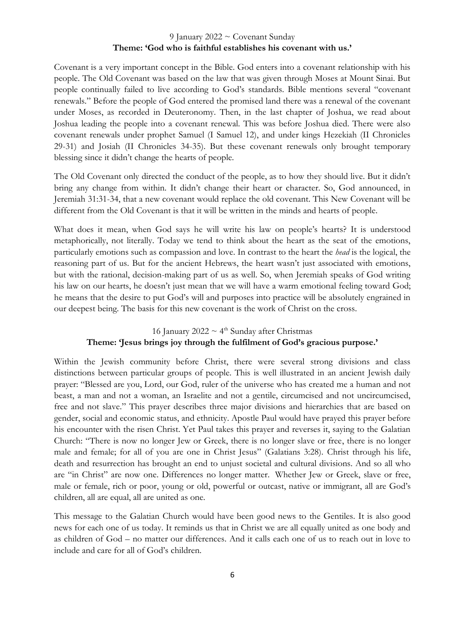#### 9 January 2022 ~ Covenant Sunday **Theme: 'God who is faithful establishes his covenant with us.'**

Covenant is a very important concept in the Bible. God enters into a covenant relationship with his people. The Old Covenant was based on the law that was given through Moses at Mount Sinai. But people continually failed to live according to God's standards. Bible mentions several "covenant renewals." Before the people of God entered the promised land there was a renewal of the covenant under Moses, as recorded in Deuteronomy. Then, in the last chapter of Joshua, we read about Joshua leading the people into a covenant renewal. This was before Joshua died. There were also covenant renewals under prophet Samuel (I Samuel 12), and under kings Hezekiah (II Chronicles 29-31) and Josiah (II Chronicles 34-35). But these covenant renewals only brought temporary blessing since it didn't change the hearts of people.

The Old Covenant only directed the conduct of the people, as to how they should live. But it didn't bring any change from within. It didn't change their heart or character. So, God announced, in Jeremiah 31:31-34, that a new covenant would replace the old covenant. This New Covenant will be different from the Old Covenant is that it will be written in the minds and hearts of people.

What does it mean, when God says he will write his law on people's hearts? It is understood metaphorically, not literally. Today we tend to think about the heart as the seat of the emotions, particularly emotions such as compassion and love. In contrast to the heart the *head* is the logical, the reasoning part of us. But for the ancient Hebrews, the heart wasn't just associated with emotions, but with the rational, decision-making part of us as well. So, when Jeremiah speaks of God writing his law on our hearts, he doesn't just mean that we will have a warm emotional feeling toward God; he means that the desire to put God's will and purposes into practice will be absolutely engrained in our deepest being. The basis for this new covenant is the work of Christ on the cross.

16 January 2022  $\sim 4^{\text{th}}$  Sunday after Christmas

#### **Theme: 'Jesus brings joy through the fulfilment of God's gracious purpose.'**

Within the Jewish community before Christ, there were several strong divisions and class distinctions between particular groups of people. This is well illustrated in an ancient Jewish daily prayer: "Blessed are you, Lord, our God, ruler of the universe who has created me a human and not beast, a man and not a woman, an Israelite and not a gentile, circumcised and not uncircumcised, free and not slave." This prayer describes three major divisions and hierarchies that are based on gender, social and economic status, and ethnicity. Apostle Paul would have prayed this prayer before his encounter with the risen Christ. Yet Paul takes this prayer and reverses it, saying to the Galatian Church: "There is now no longer Jew or Greek, there is no longer slave or free, there is no longer male and female; for all of you are one in Christ Jesus" (Galatians 3:28). Christ through his life, death and resurrection has brought an end to unjust societal and cultural divisions. And so all who are "in Christ" are now one. Differences no longer matter. Whether Jew or Greek, slave or free, male or female, rich or poor, young or old, powerful or outcast, native or immigrant, all are God's children, all are equal, all are united as one.

This message to the Galatian Church would have been good news to the Gentiles. It is also good news for each one of us today. It reminds us that in Christ we are all equally united as one body and as children of God – no matter our differences. And it calls each one of us to reach out in love to include and care for all of God's children.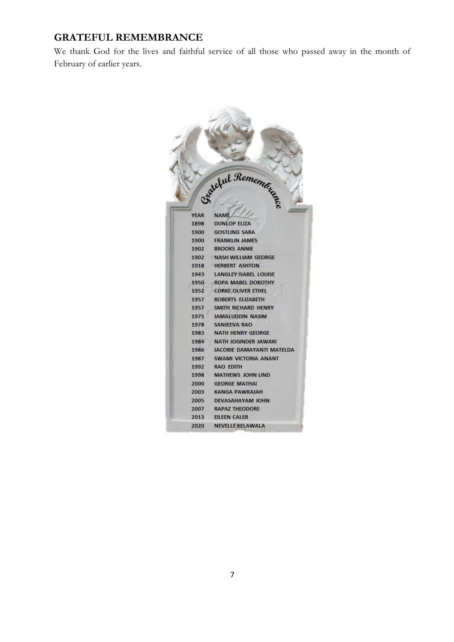### **GRATEFUL REMEMBRANCE**

We thank God for the lives and faithful service of all those who passed away in the month of February of earlier years.